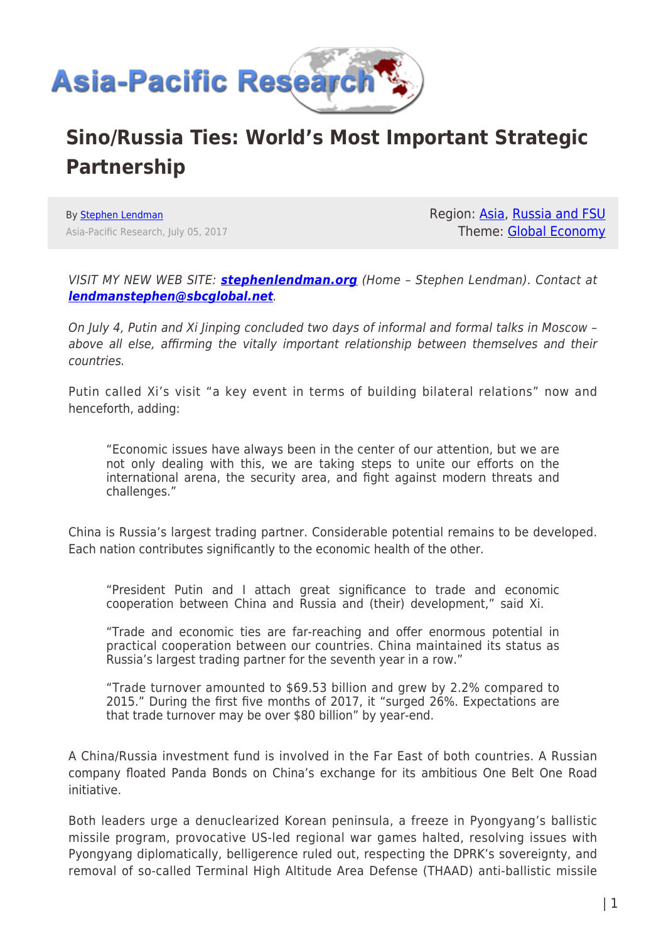

# **Sino/Russia Ties: World's Most Important Strategic Partnership**

By [Stephen Lendman](https://www.asia-pacificresearch.com/author/stephen-lendman) Asia-Pacific Research, July 05, 2017 Region: [Asia](https://www.asia-pacificresearch.com/region/asia-as), [Russia and FSU](https://www.asia-pacificresearch.com/region/russia-and-fsu-as) Theme: [Global Economy](https://www.asia-pacificresearch.com/theme/global-economy-as)

VISIT MY NEW WEB SITE: *[stephenlendman.org](http://stephenlendman.org)* (Home – Stephen Lendman). Contact at *[lendmanstephen@sbcglobal.net](mailto:lendmanstephen@sbcglobal.net)*.

On July 4, Putin and Xi Jinping concluded two days of informal and formal talks in Moscow – above all else, affirming the vitally important relationship between themselves and their countries.

Putin called Xi's visit "a key event in terms of building bilateral relations" now and henceforth, adding:

"Economic issues have always been in the center of our attention, but we are not only dealing with this, we are taking steps to unite our efforts on the international arena, the security area, and fight against modern threats and challenges."

China is Russia's largest trading partner. Considerable potential remains to be developed. Each nation contributes significantly to the economic health of the other.

"President Putin and I attach great significance to trade and economic cooperation between China and Russia and (their) development," said Xi.

"Trade and economic ties are far-reaching and offer enormous potential in practical cooperation between our countries. China maintained its status as Russia's largest trading partner for the seventh year in a row."

"Trade turnover amounted to \$69.53 billion and grew by 2.2% compared to 2015." During the first five months of 2017, it "surged 26%. Expectations are that trade turnover may be over \$80 billion" by year-end.

A China/Russia investment fund is involved in the Far East of both countries. A Russian company floated Panda Bonds on China's exchange for its ambitious One Belt One Road initiative.

Both leaders urge a denuclearized Korean peninsula, a freeze in Pyongyang's ballistic missile program, provocative US-led regional war games halted, resolving issues with Pyongyang diplomatically, belligerence ruled out, respecting the DPRK's sovereignty, and removal of so-called Terminal High Altitude Area Defense (THAAD) anti-ballistic missile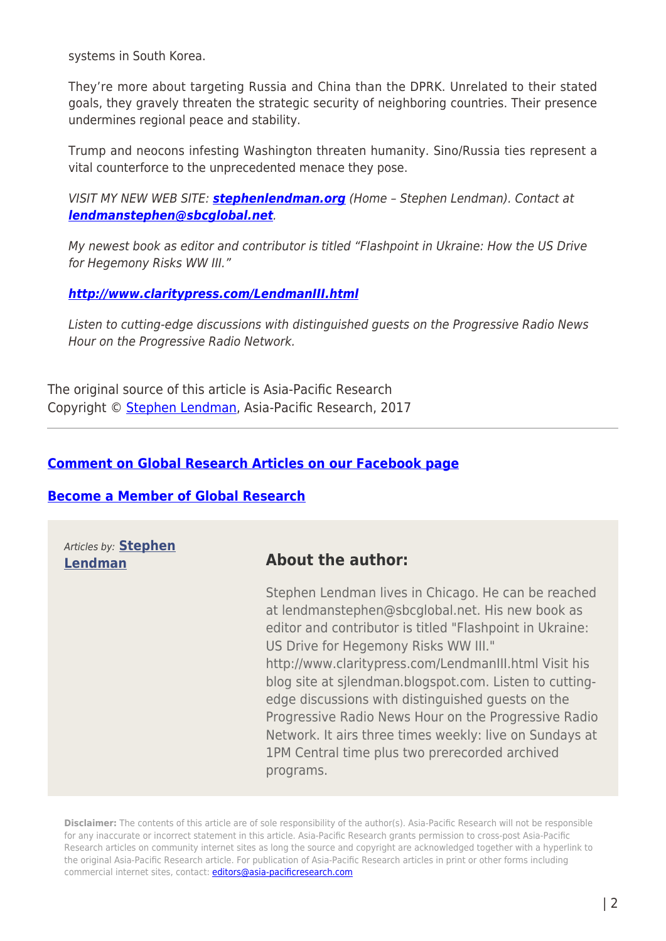systems in South Korea.

They're more about targeting Russia and China than the DPRK. Unrelated to their stated goals, they gravely threaten the strategic security of neighboring countries. Their presence undermines regional peace and stability.

Trump and neocons infesting Washington threaten humanity. Sino/Russia ties represent a vital counterforce to the unprecedented menace they pose.

VISIT MY NEW WEB SITE: *[stephenlendman.org](http://stephenlendman.org)* (Home – Stephen Lendman). Contact at *[lendmanstephen@sbcglobal.net](mailto:lendmanstephen@sbcglobal.net)*.

My newest book as editor and contributor is titled "Flashpoint in Ukraine: How the US Drive for Hegemony Risks WW III."

#### *<http://www.claritypress.com/LendmanIII.html>*

Listen to cutting-edge discussions with distinguished guests on the Progressive Radio News Hour on the Progressive Radio Network.

The original source of this article is Asia-Pacific Research Copyright © [Stephen Lendman,](https://www.asia-pacificresearch.com/author/stephen-lendman) Asia-Pacific Research, 2017

### **[Comment on Global Research Articles on our Facebook page](https://www.facebook.com/GlobalResearchCRG)**

#### **[Become a Member of Global Research](https://store.globalresearch.ca/member/)**

Articles by: **[Stephen](https://www.asia-pacificresearch.com/author/stephen-lendman)**

## **[Lendman](https://www.asia-pacificresearch.com/author/stephen-lendman) About the author:**

Stephen Lendman lives in Chicago. He can be reached at lendmanstephen@sbcglobal.net. His new book as editor and contributor is titled "Flashpoint in Ukraine: US Drive for Hegemony Risks WW III." http://www.claritypress.com/LendmanIII.html Visit his blog site at sjlendman.blogspot.com. Listen to cuttingedge discussions with distinguished guests on the Progressive Radio News Hour on the Progressive Radio Network. It airs three times weekly: live on Sundays at 1PM Central time plus two prerecorded archived programs.

**Disclaimer:** The contents of this article are of sole responsibility of the author(s). Asia-Pacific Research will not be responsible for any inaccurate or incorrect statement in this article. Asia-Pacific Research grants permission to cross-post Asia-Pacific Research articles on community internet sites as long the source and copyright are acknowledged together with a hyperlink to the original Asia-Pacific Research article. For publication of Asia-Pacific Research articles in print or other forms including commercial internet sites, contact: [editors@asia-pacificresearch.com](mailto:editors@asia-pacificresearch.com)